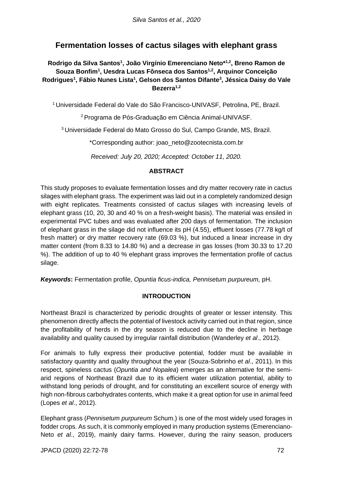# **Fermentation losses of cactus silages with elephant grass**

## **Rodrigo da Silva Santos<sup>1</sup> , João Virgínio Emerenciano Neto\* 1,2, Breno Ramon de Souza Bonfim<sup>1</sup> , Uesdra Lucas Fônseca dos Santos1,2, Arquinor Conceição Rodrigues<sup>1</sup> , Fábio Nunes Lista<sup>1</sup> , Gelson dos Santos Difante<sup>3</sup> , Jéssica Daisy do Vale Bezerra1,2**

<sup>1</sup> Universidade Federal do Vale do São Francisco-UNIVASF, Petrolina, PE, Brazil.

<sup>2</sup> Programa de Pós-Graduação em Ciência Animal-UNIVASF.

<sup>3</sup> Universidade Federal do Mato Grosso do Sul, Campo Grande, MS, Brazil.

\*Corresponding author: joao\_neto@zootecnista.com.br

*Received: July 20, 2020; Accepted: October 11, 2020.*

### **ABSTRACT**

This study proposes to evaluate fermentation losses and dry matter recovery rate in cactus silages with elephant grass. The experiment was laid out in a completely randomized design with eight replicates. Treatments consisted of cactus silages with increasing levels of elephant grass (10, 20, 30 and 40 % on a fresh-weight basis). The material was ensiled in experimental PVC tubes and was evaluated after 200 days of fermentation. The inclusion of elephant grass in the silage did not influence its pH (4.55), effluent losses (77.78 kg/t of fresh matter) or dry matter recovery rate (69.03 %), but induced a linear increase in dry matter content (from 8.33 to 14.80 %) and a decrease in gas losses (from 30.33 to 17.20 %). The addition of up to 40 % elephant grass improves the fermentation profile of cactus silage.

*Keywords***:** Fermentation profile*, Opuntia ficus-indica, Pennisetum purpureum,* pH.

## **INTRODUCTION**

Northeast Brazil is characterized by periodic droughts of greater or lesser intensity. This phenomenon directly affects the potential of livestock activity carried out in that region, since the profitability of herds in the dry season is reduced due to the decline in herbage availability and quality caused by irregular rainfall distribution (Wanderley *et al*., 2012).

For animals to fully express their productive potential, fodder must be available in satisfactory quantity and quality throughout the year (Souza-Sobrinho *et al*., 2011). In this respect, spineless cactus (*Opuntia and Nopalea*) emerges as an alternative for the semiarid regions of Northeast Brazil due to its efficient water utilization potential, ability to withstand long periods of drought, and for constituting an excellent source of energy with high non-fibrous carbohydrates contents, which make it a great option for use in animal feed (Lopes *et al*., 2012).

Elephant grass (*Pennisetum purpureum* Schum.) is one of the most widely used forages in fodder crops. As such, it is commonly employed in many production systems (Emerenciano-Neto *et al*., 2019), mainly dairy farms. However, during the rainy season, producers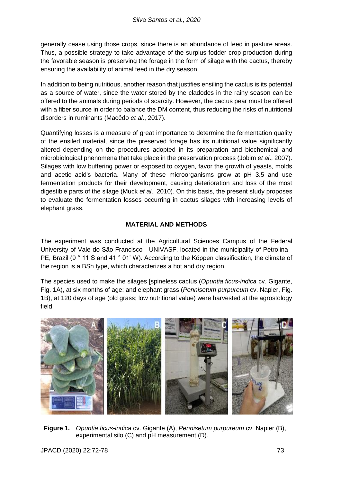generally cease using those crops, since there is an abundance of feed in pasture areas. Thus, a possible strategy to take advantage of the surplus fodder crop production during the favorable season is preserving the forage in the form of silage with the cactus, thereby ensuring the availability of animal feed in the dry season.

In addition to being nutritious, another reason that justifies ensiling the cactus is its potential as a source of water, since the water stored by the cladodes in the rainy season can be offered to the animals during periods of scarcity. However, the cactus pear must be offered with a fiber source in order to balance the DM content, thus reducing the risks of nutritional disorders in ruminants (Macêdo *et al*., 2017).

Quantifying losses is a measure of great importance to determine the fermentation quality of the ensiled material, since the preserved forage has its nutritional value significantly altered depending on the procedures adopted in its preparation and biochemical and microbiological phenomena that take place in the preservation process (Jobim *et al*., 2007). Silages with low buffering power or exposed to oxygen, favor the growth of yeasts, molds and acetic acid's bacteria. Many of these microorganisms grow at pH 3.5 and use fermentation products for their development, causing deterioration and loss of the most digestible parts of the silage (Muck *et al*., 2010). On this basis, the present study proposes to evaluate the fermentation losses occurring in cactus silages with increasing levels of elephant grass.

## **MATERIAL AND METHODS**

The experiment was conducted at the Agricultural Sciences Campus of the Federal University of Vale do São Francisco - UNIVASF, located in the municipality of Petrolina - PE, Brazil (9 ° 11 S and 41 ° 01' W). According to the Köppen classification, the climate of the region is a BSh type, which characterizes a hot and dry region.

The species used to make the silages [spineless cactus (*Opuntia ficus-indica* cv. Gigante, Fig. 1A), at six months of age; and elephant grass (*Pennisetum purpureum* cv. Napier, Fig. 1B), at 120 days of age (old grass; low nutritional value) were harvested at the agrostology field.



**Figure 1.** *Opuntia ficus-indica* cv. Gigante (A), *Pennisetum purpureum* cv. Napier (B), experimental silo (C) and pH measurement (D).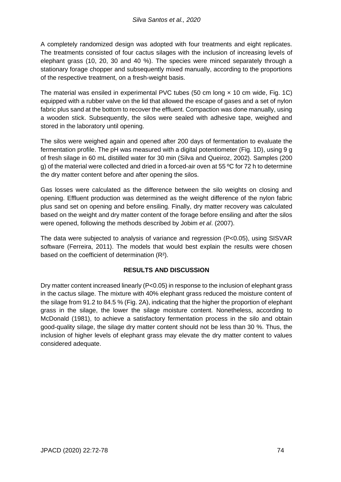A completely randomized design was adopted with four treatments and eight replicates. The treatments consisted of four cactus silages with the inclusion of increasing levels of elephant grass (10, 20, 30 and 40 %). The species were minced separately through a stationary forage chopper and subsequently mixed manually, according to the proportions of the respective treatment, on a fresh-weight basis.

The material was ensiled in experimental PVC tubes (50 cm long  $\times$  10 cm wide, Fig. 1C) equipped with a rubber valve on the lid that allowed the escape of gases and a set of nylon fabric plus sand at the bottom to recover the effluent. Compaction was done manually, using a wooden stick. Subsequently, the silos were sealed with adhesive tape, weighed and stored in the laboratory until opening.

The silos were weighed again and opened after 200 days of fermentation to evaluate the fermentation profile. The pH was measured with a digital potentiometer (Fig. 1D), using 9 g of fresh silage in 60 mL distilled water for 30 min (Silva and Queiroz, 2002). Samples (200 g) of the material were collected and dried in a forced-air oven at 55  $\degree$ C for 72 h to determine the dry matter content before and after opening the silos.

Gas losses were calculated as the difference between the silo weights on closing and opening. Effluent production was determined as the weight difference of the nylon fabric plus sand set on opening and before ensiling. Finally, dry matter recovery was calculated based on the weight and dry matter content of the forage before ensiling and after the silos were opened, following the methods described by Jobim *et al*. (2007).

The data were subjected to analysis of variance and regression (P<0.05), using SISVAR software (Ferreira, 2011). The models that would best explain the results were chosen based on the coefficient of determination (R²).

## **RESULTS AND DISCUSSION**

Dry matter content increased linearly (P<0.05) in response to the inclusion of elephant grass in the cactus silage. The mixture with 40% elephant grass reduced the moisture content of the silage from 91.2 to 84.5 % (Fig. 2A), indicating that the higher the proportion of elephant grass in the silage, the lower the silage moisture content. Nonetheless, according to McDonald (1981), to achieve a satisfactory fermentation process in the silo and obtain good-quality silage, the silage dry matter content should not be less than 30 %. Thus, the inclusion of higher levels of elephant grass may elevate the dry matter content to values considered adequate.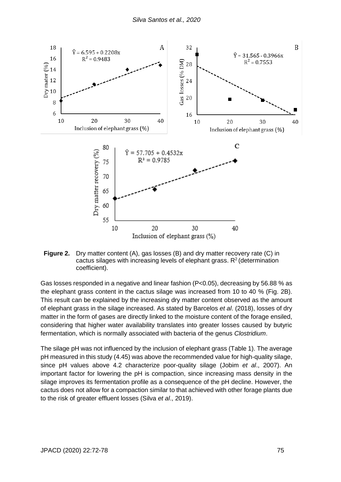

**Figure 2.** Dry matter content (A), gas losses (B) and dry matter recovery rate (C) in cactus silages with increasing levels of elephant grass.  $R<sup>2</sup>$  (determination coefficient).

Gas losses responded in a negative and linear fashion (P<0.05), decreasing by 56.88 % as the elephant grass content in the cactus silage was increased from 10 to 40 % (Fig. 2B). This result can be explained by the increasing dry matter content observed as the amount of elephant grass in the silage increased. As stated by Barcelos *et al*. (2018), losses of dry matter in the form of gases are directly linked to the moisture content of the forage ensiled, considering that higher water availability translates into greater losses caused by butyric fermentation, which is normally associated with bacteria of the genus *Clostridium*.

The silage pH was not influenced by the inclusion of elephant grass (Table 1). The average pH measured in this study (4.45) was above the recommended value for high-quality silage, since pH values above 4.2 characterize poor-quality silage (Jobim *et al*., 2007). An important factor for lowering the pH is compaction, since increasing mass density in the silage improves its fermentation profile as a consequence of the pH decline. However, the cactus does not allow for a compaction similar to that achieved with other forage plants due to the risk of greater effluent losses (Silva *et al*., 2019).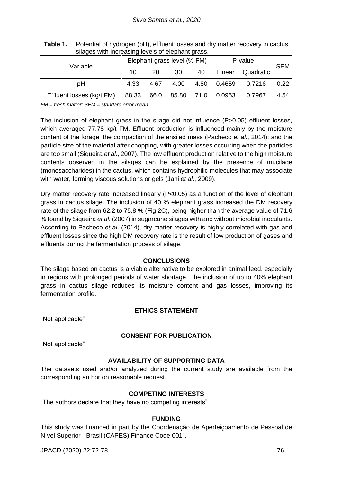| silages with increasing levels of elephant grass. |                             |      |      |      |                   |           |            |
|---------------------------------------------------|-----------------------------|------|------|------|-------------------|-----------|------------|
| Variable                                          | Elephant grass level (% FM) |      |      |      | P-value           |           | <b>SEM</b> |
|                                                   | 10                          | 20   | 30   | 40   | Linear            | Quadratic |            |
| рH                                                | 4.33                        | 4.67 | 4.00 | 4.80 | 0.4659            | 0.7216    | 0.22       |
| Effluent losses (kg/t FM)                         | 88.33                       | 66.0 |      |      | 85.80 71.0 0.0953 | 0.7967    | 4.54       |

**Table 1.** Potential of hydrogen (pH), effluent losses and dry matter recovery in cactus silages with increasing levels of elephant grass.

*FM = fresh matter; SEM = standard error mean.*

The inclusion of elephant grass in the silage did not influence (P>0.05) effluent losses, which averaged 77.78 kg/t FM. Effluent production is influenced mainly by the moisture content of the forage; the compaction of the ensiled mass (Pacheco *et al*., 2014); and the particle size of the material after chopping, with greater losses occurring when the particles are too small (Siqueira *et al*., 2007). The low effluent production relative to the high moisture contents observed in the silages can be explained by the presence of mucilage (monosaccharides) in the cactus, which contains hydrophilic molecules that may associate with water, forming viscous solutions or gels (Jani *et al*., 2009).

Dry matter recovery rate increased linearly (P<0.05) as a function of the level of elephant grass in cactus silage. The inclusion of 40 % elephant grass increased the DM recovery rate of the silage from 62.2 to 75.8 % (Fig 2C), being higher than the average value of 71.6 % found by Siqueira *et al*. (2007) in sugarcane silages with and without microbial inoculants. According to Pacheco *et al*. (2014), dry matter recovery is highly correlated with gas and effluent losses since the high DM recovery rate is the result of low production of gases and effluents during the fermentation process of silage.

#### **CONCLUSIONS**

The silage based on cactus is a viable alternative to be explored in animal feed, especially in regions with prolonged periods of water shortage. The inclusion of up to 40% elephant grass in cactus silage reduces its moisture content and gas losses, improving its fermentation profile.

#### **ETHICS STATEMENT**

"Not applicable"

#### **CONSENT FOR PUBLICATION**

"Not applicable"

## **AVAILABILITY OF SUPPORTING DATA**

The datasets used and/or analyzed during the current study are available from the corresponding author on reasonable request.

#### **COMPETING INTERESTS**

"The authors declare that they have no competing interests"

#### **FUNDING**

This study was financed in part by the Coordenação de Aperfeiçoamento de Pessoal de Nível Superior - Brasil (CAPES) Finance Code 001".

JPACD (2020) 22:72-78 76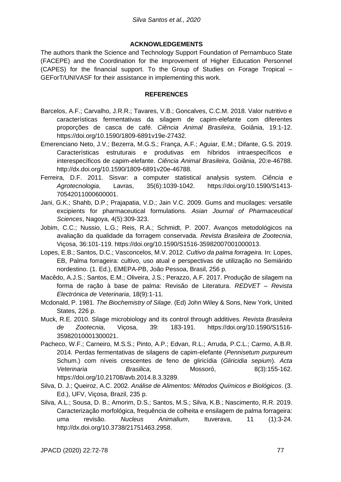#### **ACKNOWLEDGEMENTS**

The authors thank the Science and Technology Support Foundation of Pernambuco State (FACEPE) and the Coordination for the Improvement of Higher Education Personnel (CAPES) for the financial support. To the Group of Studies on Forage Tropical – GEForT/UNIVASF for their assistance in implementing this work.

#### **REFERENCES**

- Barcelos, A.F.; Carvalho, J.R.R.; Tavares, V.B.; Goncalves, C.C.M. 2018. Valor nutritivo e características fermentativas da silagem de capim-elefante com diferentes proporções de casca de café. *Ciência Animal Brasileira*, Goiânia, 19:1-12. https://doi.org/10.1590/1809-6891v19e-27432.
- Emerenciano Neto, J.V.; Bezerra, M.G.S.; França, A.F.; Aguiar, E.M.; Difante, G.S. 2019. Características estruturais e produtivas em híbridos intraespecíficos e interespecíficos de capim-elefante. *Ciência Animal Brasileira*, Goiânia, 20:e-46788. http://dx.doi.org/10.1590/1809-6891v20e-46788.
- Ferreira, D.F. 2011. Sisvar: a computer statistical analysis system. *Ciência e Agrotecnologia*, Lavras, 35(6):1039-1042. https://doi.org/10.1590/S1413- 70542011000600001.
- Jani, G.K.; Shahb, D.P.; Prajapatia, V.D.; Jain V.C. 2009. Gums and mucilages: versatile excipients for pharmaceutical formulations. *Asian Journal of Pharmaceutical Sciences*, Nagoya, 4(5):309-323.
- Jobim, C.C.; Nussio, L.G.; Reis, R.A.; Schmidt, P. 2007. Avanços metodológicos na avaliação da qualidade da forragem conservada. *Revista Brasileira de Zootecnia*, Viçosa, 36:101-119. https://doi.org/10.1590/S1516-35982007001000013.
- Lopes, E.B.; Santos, D.C.; Vasconcelos, M.V. 2012. *Cultivo da palma forrageira.* In: Lopes, EB, Palma forrageira: cultivo, uso atual e perspectivas de utilização no Semiárido nordestino. (1. Ed.), EMEPA-PB, João Pessoa, Brasil, 256 p.
- Macêdo, A.J.S.; Santos, E.M.; Oliveira, J.S.; Perazzo, A.F. 2017. Produção de silagem na forma de ração à base de palma: Revisão de Literatura. *REDVET – Revista Electrónica de Veterinaria*, 18(9):1-11.
- Mcdonald, P. 1981. *The Biochemistry of Silage*. (Ed) John Wiley & Sons, New York, United States, 226 p.
- Muck, R.E. 2010. Silage microbiology and its control through additives. *Revista Brasileira de Zootecnia*, Viçosa, 39: 183-191. https://doi.org/10.1590/S1516- 35982010001300021.
- Pacheco, W.F.; Carneiro, M.S.S.; Pinto, A.P.; Edvan, R.L.; Arruda, P.C.L.; Carmo, A.B.R. 2014. Perdas fermentativas de silagens de capim-elefante (*Pennisetum purpureum* Schum.) com níveis crescentes de feno de gliricídia (*Gliricidia sepium*). *Acta Veterinaria Brasilica*, Mossoró, 8(3):155-162. https://doi.org/10.21708/avb.2014.8.3.3289.
- Silva, D. J.; Queiroz, A.C. 2002. *Análise de Alimentos: Métodos Químicos e Biológicos*. (3. Ed.), UFV, Viçosa, Brazil, 235 p.
- Silva, A.L.; Sousa, D. B.; Amorim, D.S.; Santos, M.S.; Silva, K.B.; Nascimento, R.R. 2019. Caracterização morfológica, frequência de colheita e ensilagem de palma forrageira: uma revisão. *Nucleus Animalium*, Ituverava, 11 (1):3-24. http://dx.doi.org/10.3738/21751463.2958.